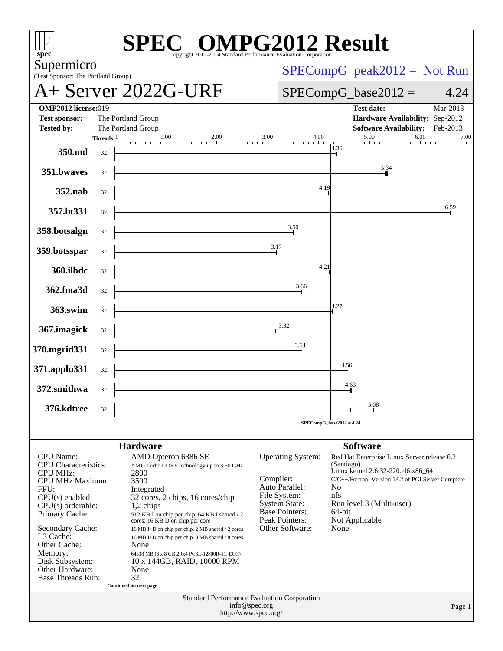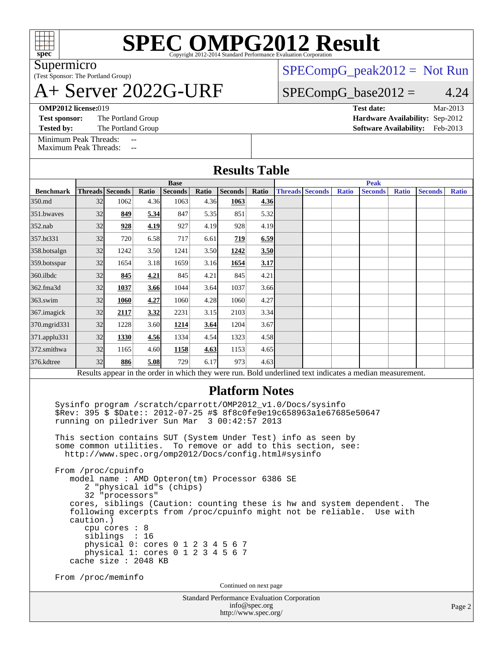

Supermicro

### (Test Sponsor: The Portland Group) A+ Server 2022G-URF

 $SPECompG_peak2012 = Not Run$  $SPECompG_peak2012 = Not Run$ 

### $SPECompG_base2012 = 4.24$  $SPECompG_base2012 = 4.24$

**[OMP2012 license:](http://www.spec.org/auto/omp2012/Docs/result-fields.html#OMP2012license)**019 **[Test date:](http://www.spec.org/auto/omp2012/Docs/result-fields.html#Testdate)** Mar-2013

**[Test sponsor:](http://www.spec.org/auto/omp2012/Docs/result-fields.html#Testsponsor)** The Portland Group **[Hardware Availability:](http://www.spec.org/auto/omp2012/Docs/result-fields.html#HardwareAvailability)** Sep-2012

**[Tested by:](http://www.spec.org/auto/omp2012/Docs/result-fields.html#Testedby)** The Portland Group **[Software Availability:](http://www.spec.org/auto/omp2012/Docs/result-fields.html#SoftwareAvailability)** Feb-2013

[Minimum Peak Threads:](http://www.spec.org/auto/omp2012/Docs/result-fields.html#MinimumPeakThreads) --[Maximum Peak Threads:](http://www.spec.org/auto/omp2012/Docs/result-fields.html#MaximumPeakThreads)

| <b>Results Table</b> |                                                                                                          |                 |       |                |       |                |       |  |                        |              |                |              |                |              |  |
|----------------------|----------------------------------------------------------------------------------------------------------|-----------------|-------|----------------|-------|----------------|-------|--|------------------------|--------------|----------------|--------------|----------------|--------------|--|
|                      | <b>Base</b>                                                                                              |                 |       |                |       |                |       |  | <b>Peak</b>            |              |                |              |                |              |  |
| <b>Benchmark</b>     |                                                                                                          | Threads Seconds | Ratio | <b>Seconds</b> | Ratio | <b>Seconds</b> | Ratio |  | <b>Threads Seconds</b> | <b>Ratio</b> | <b>Seconds</b> | <b>Ratio</b> | <b>Seconds</b> | <b>Ratio</b> |  |
| 350.md               | 32                                                                                                       | 1062            | 4.36  | 1063           | 4.36  | 1063           | 4.36  |  |                        |              |                |              |                |              |  |
| 351.bwayes           | 32                                                                                                       | 849             | 5.34  | 847            | 5.35  | 851            | 5.32  |  |                        |              |                |              |                |              |  |
| $352$ .nab           | 32                                                                                                       | 928             | 4.19  | 927            | 4.19  | 928            | 4.19  |  |                        |              |                |              |                |              |  |
| 357.bt331            | 32                                                                                                       | 720             | 6.58  | 717            | 6.61  | 719            | 6.59  |  |                        |              |                |              |                |              |  |
| 358.botsalgn         | 32                                                                                                       | 1242            | 3.50  | 1241           | 3.50  | 1242           | 3.50  |  |                        |              |                |              |                |              |  |
| 359.botsspar         | 32                                                                                                       | 1654            | 3.18  | 1659           | 3.16  | 1654           | 3.17  |  |                        |              |                |              |                |              |  |
| 360.ilbdc            | 32                                                                                                       | 845             | 4.21  | 845            | 4.21  | 845            | 4.21  |  |                        |              |                |              |                |              |  |
| 362.fma3d            | 32                                                                                                       | 1037            | 3.66  | 1044           | 3.64  | 1037           | 3.66  |  |                        |              |                |              |                |              |  |
| $363$ .swim          | 32                                                                                                       | 1060            | 4.27  | 1060           | 4.28  | 1060           | 4.27  |  |                        |              |                |              |                |              |  |
| 367. imagick         | 32                                                                                                       | 2117            | 3.32  | 2231           | 3.15  | 2103           | 3.34  |  |                        |              |                |              |                |              |  |
| 370.mgrid331         | 32                                                                                                       | 1228            | 3.60  | 1214           | 3.64  | 1204           | 3.67  |  |                        |              |                |              |                |              |  |
| 371.applu331         | 32                                                                                                       | 1330            | 4.56  | 1334           | 4.54  | 1323           | 4.58  |  |                        |              |                |              |                |              |  |
| 372.smithwa          | 32                                                                                                       | 1165            | 4.60  | 1158           | 4.63  | 1153           | 4.65  |  |                        |              |                |              |                |              |  |
| 376.kdtree           | 32                                                                                                       | 886             | 5.08  | 729            | 6.17  | 973            | 4.63  |  |                        |              |                |              |                |              |  |
|                      | Results appear in the order in which they were run. Bold underlined text indicates a median measurement. |                 |       |                |       |                |       |  |                        |              |                |              |                |              |  |

### **[Platform Notes](http://www.spec.org/auto/omp2012/Docs/result-fields.html#PlatformNotes)**

 Sysinfo program /scratch/cparrott/OMP2012\_v1.0/Docs/sysinfo \$Rev: 395 \$ \$Date:: 2012-07-25 #\$ 8f8c0fe9e19c658963a1e67685e50647 running on piledriver Sun Mar 3 00:42:57 2013

 This section contains SUT (System Under Test) info as seen by some common utilities. To remove or add to this section, see: <http://www.spec.org/omp2012/Docs/config.html#sysinfo>

 From /proc/cpuinfo model name : AMD Opteron(tm) Processor 6386 SE 2 "physical id"s (chips) 32 "processors" cores, siblings (Caution: counting these is hw and system dependent. The following excerpts from /proc/cpuinfo might not be reliable. Use with caution.) cpu cores : 8 siblings : 16 physical 0: cores 0 1 2 3 4 5 6 7 physical 1: cores 0 1 2 3 4 5 6 7 cache size : 2048 KB

From /proc/meminfo

Continued on next page

Standard Performance Evaluation Corporation [info@spec.org](mailto:info@spec.org) <http://www.spec.org/>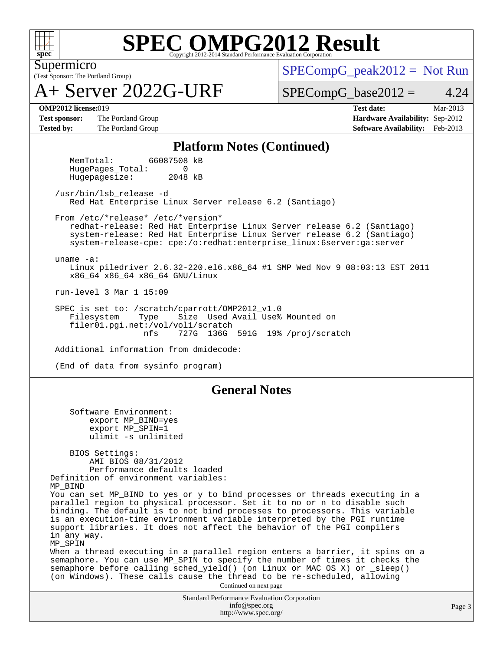

(Test Sponsor: The Portland Group) Supermicro

A+ Server 2022G-URF

 $SPECompG_peak2012 = Not Run$  $SPECompG_peak2012 = Not Run$ 

 $SPECompG_base2012 = 4.24$  $SPECompG_base2012 = 4.24$ 

**[Test sponsor:](http://www.spec.org/auto/omp2012/Docs/result-fields.html#Testsponsor)** The Portland Group **[Hardware Availability:](http://www.spec.org/auto/omp2012/Docs/result-fields.html#HardwareAvailability)** Sep-2012

**[OMP2012 license:](http://www.spec.org/auto/omp2012/Docs/result-fields.html#OMP2012license)**019 **[Test date:](http://www.spec.org/auto/omp2012/Docs/result-fields.html#Testdate)** Mar-2013 [Tested by:](http://www.spec.org/auto/omp2012/Docs/result-fields.html#Testedby) The Portland Group **[Software Availability:](http://www.spec.org/auto/omp2012/Docs/result-fields.html#SoftwareAvailability)** Feb-2013

### **[Platform Notes \(Continued\)](http://www.spec.org/auto/omp2012/Docs/result-fields.html#PlatformNotes)**

 MemTotal: 66087508 kB HugePages Total: 0 Hugepagesize: 2048 kB

 /usr/bin/lsb\_release -d Red Hat Enterprise Linux Server release 6.2 (Santiago)

From /etc/\*release\* /etc/\*version\*

 redhat-release: Red Hat Enterprise Linux Server release 6.2 (Santiago) system-release: Red Hat Enterprise Linux Server release 6.2 (Santiago) system-release-cpe: cpe:/o:redhat:enterprise\_linux:6server:ga:server

uname -a:

 Linux piledriver 2.6.32-220.el6.x86\_64 #1 SMP Wed Nov 9 08:03:13 EST 2011 x86\_64 x86\_64 x86\_64 GNU/Linux

run-level 3 Mar 1 15:09

SPEC is set to: /scratch/cparrott/OMP2012\_v1.0<br>Filesystem Type Size Used Avail Use% Size Used Avail Use% Mounted on filer01.pgi.net:/vol/vol1/scratch nfs 727G 136G 591G 19% /proj/scratch

Additional information from dmidecode:

(End of data from sysinfo program)

### **[General Notes](http://www.spec.org/auto/omp2012/Docs/result-fields.html#GeneralNotes)**

Standard Performance Evaluation Corporation Software Environment: export MP\_BIND=yes export MP\_SPIN=1 ulimit -s unlimited BIOS Settings: AMI BIOS 08/31/2012 Performance defaults loaded Definition of environment variables: MP\_BIND You can set MP\_BIND to yes or y to bind processes or threads executing in a parallel region to physical processor. Set it to no or n to disable such binding. The default is to not bind processes to processors. This variable is an execution-time environment variable interpreted by the PGI runtime support libraries. It does not affect the behavior of the PGI compilers in any way. MP\_SPIN When a thread executing in a parallel region enters a barrier, it spins on a semaphore. You can use MP\_SPIN to specify the number of times it checks the semaphore before calling sched\_yield() (on Linux or MAC OS X) or \_sleep() (on Windows). These calls cause the thread to be re-scheduled, allowing Continued on next page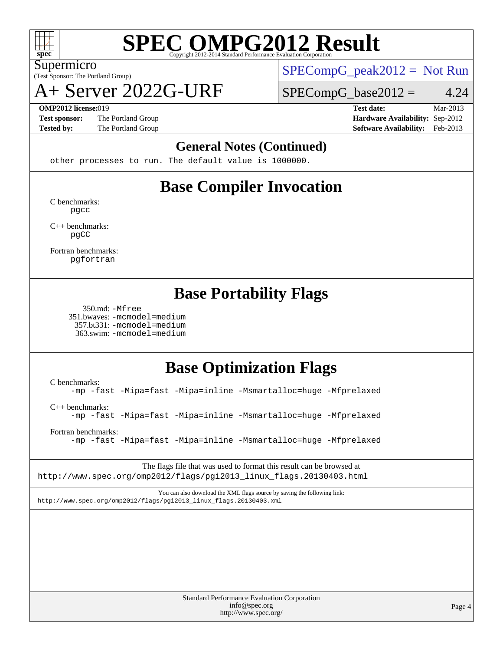

(Test Sponsor: The Portland Group) Supermicro

A+ Server 2022G-URF

 $SPECompG_peak2012 = Not Run$  $SPECompG_peak2012 = Not Run$ 

 $SPECompG_base2012 = 4.24$  $SPECompG_base2012 = 4.24$ 

**[Test sponsor:](http://www.spec.org/auto/omp2012/Docs/result-fields.html#Testsponsor)** The Portland Group **[Hardware Availability:](http://www.spec.org/auto/omp2012/Docs/result-fields.html#HardwareAvailability)** Sep-2012

**[OMP2012 license:](http://www.spec.org/auto/omp2012/Docs/result-fields.html#OMP2012license)**019 **[Test date:](http://www.spec.org/auto/omp2012/Docs/result-fields.html#Testdate)** Mar-2013 **[Tested by:](http://www.spec.org/auto/omp2012/Docs/result-fields.html#Testedby)** The Portland Group **[Software Availability:](http://www.spec.org/auto/omp2012/Docs/result-fields.html#SoftwareAvailability)** Feb-2013

### **[General Notes \(Continued\)](http://www.spec.org/auto/omp2012/Docs/result-fields.html#GeneralNotes)**

other processes to run. The default value is 1000000.

## **[Base Compiler Invocation](http://www.spec.org/auto/omp2012/Docs/result-fields.html#BaseCompilerInvocation)**

[C benchmarks](http://www.spec.org/auto/omp2012/Docs/result-fields.html#Cbenchmarks): [pgcc](http://www.spec.org/omp2012/results/res2013q2/omp2012-20130320-00028.flags.html#user_CCbase_pgcc_l)

[C++ benchmarks:](http://www.spec.org/auto/omp2012/Docs/result-fields.html#CXXbenchmarks) [pgCC](http://www.spec.org/omp2012/results/res2013q2/omp2012-20130320-00028.flags.html#user_CXXbase_pgcpp_l_ab9852b71f93c2d78825bb6ac07dfa02)

[Fortran benchmarks](http://www.spec.org/auto/omp2012/Docs/result-fields.html#Fortranbenchmarks): [pgfortran](http://www.spec.org/omp2012/results/res2013q2/omp2012-20130320-00028.flags.html#user_FCbase_pgfortran_l)

### **[Base Portability Flags](http://www.spec.org/auto/omp2012/Docs/result-fields.html#BasePortabilityFlags)**

 350.md: [-Mfree](http://www.spec.org/omp2012/results/res2013q2/omp2012-20130320-00028.flags.html#user_baseFPORTABILITY350_md_Mfree) 351.bwaves: [-mcmodel=medium](http://www.spec.org/omp2012/results/res2013q2/omp2012-20130320-00028.flags.html#user_baseFPORTABILITY351_bwaves_mcmodel_medium) 357.bt331: [-mcmodel=medium](http://www.spec.org/omp2012/results/res2013q2/omp2012-20130320-00028.flags.html#user_baseFPORTABILITY357_bt331_mcmodel_medium) 363.swim: [-mcmodel=medium](http://www.spec.org/omp2012/results/res2013q2/omp2012-20130320-00028.flags.html#user_baseFPORTABILITY363_swim_mcmodel_medium)

### **[Base Optimization Flags](http://www.spec.org/auto/omp2012/Docs/result-fields.html#BaseOptimizationFlags)**

[C benchmarks](http://www.spec.org/auto/omp2012/Docs/result-fields.html#Cbenchmarks): [-mp](http://www.spec.org/omp2012/results/res2013q2/omp2012-20130320-00028.flags.html#user_CCbase_mp) [-fast](http://www.spec.org/omp2012/results/res2013q2/omp2012-20130320-00028.flags.html#user_CCbase_fast) [-Mipa=fast](http://www.spec.org/omp2012/results/res2013q2/omp2012-20130320-00028.flags.html#user_CCbase_Mipa_fast) [-Mipa=inline](http://www.spec.org/omp2012/results/res2013q2/omp2012-20130320-00028.flags.html#user_CCbase_Mipa_inline) [-Msmartalloc=huge](http://www.spec.org/omp2012/results/res2013q2/omp2012-20130320-00028.flags.html#user_CCbase_Msmartalloc_huge) [-Mfprelaxed](http://www.spec.org/omp2012/results/res2013q2/omp2012-20130320-00028.flags.html#user_CCbase_Mfprelaxed) [C++ benchmarks:](http://www.spec.org/auto/omp2012/Docs/result-fields.html#CXXbenchmarks) [-mp](http://www.spec.org/omp2012/results/res2013q2/omp2012-20130320-00028.flags.html#user_CXXbase_mp) [-fast](http://www.spec.org/omp2012/results/res2013q2/omp2012-20130320-00028.flags.html#user_CXXbase_fast) [-Mipa=fast](http://www.spec.org/omp2012/results/res2013q2/omp2012-20130320-00028.flags.html#user_CXXbase_Mipa_fast) [-Mipa=inline](http://www.spec.org/omp2012/results/res2013q2/omp2012-20130320-00028.flags.html#user_CXXbase_Mipa_inline) [-Msmartalloc=huge](http://www.spec.org/omp2012/results/res2013q2/omp2012-20130320-00028.flags.html#user_CXXbase_Msmartalloc_huge) [-Mfprelaxed](http://www.spec.org/omp2012/results/res2013q2/omp2012-20130320-00028.flags.html#user_CXXbase_Mfprelaxed)

[Fortran benchmarks](http://www.spec.org/auto/omp2012/Docs/result-fields.html#Fortranbenchmarks): [-mp](http://www.spec.org/omp2012/results/res2013q2/omp2012-20130320-00028.flags.html#user_FCbase_mp) [-fast](http://www.spec.org/omp2012/results/res2013q2/omp2012-20130320-00028.flags.html#user_FCbase_fast) [-Mipa=fast](http://www.spec.org/omp2012/results/res2013q2/omp2012-20130320-00028.flags.html#user_FCbase_Mipa_fast) [-Mipa=inline](http://www.spec.org/omp2012/results/res2013q2/omp2012-20130320-00028.flags.html#user_FCbase_Mipa_inline) [-Msmartalloc=huge](http://www.spec.org/omp2012/results/res2013q2/omp2012-20130320-00028.flags.html#user_FCbase_Msmartalloc_huge) [-Mfprelaxed](http://www.spec.org/omp2012/results/res2013q2/omp2012-20130320-00028.flags.html#user_FCbase_Mfprelaxed)

The flags file that was used to format this result can be browsed at [http://www.spec.org/omp2012/flags/pgi2013\\_linux\\_flags.20130403.html](http://www.spec.org/omp2012/flags/pgi2013_linux_flags.20130403.html)

You can also download the XML flags source by saving the following link: [http://www.spec.org/omp2012/flags/pgi2013\\_linux\\_flags.20130403.xml](http://www.spec.org/omp2012/flags/pgi2013_linux_flags.20130403.xml)

> Standard Performance Evaluation Corporation [info@spec.org](mailto:info@spec.org) <http://www.spec.org/>